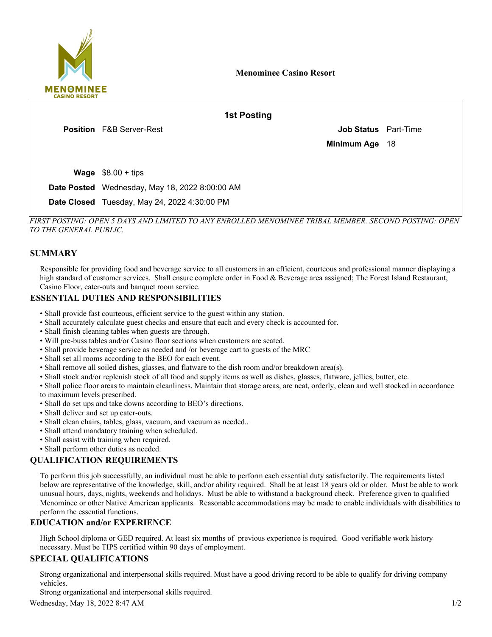

18 **Job Status** Part-Time **Wage**  $$8.00 + tips$ Date Posted Wednesday, May 18, 2022 8:00:00 AM F&B Server-Rest **Position 1st Posting Minimum Age**

Date Closed Tuesday, May 24, 2022 4:30:00 PM

*FIRST POSTING: OPEN 5 DAYS AND LIMITED TO ANY ENROLLED MENOMINEE TRIBAL MEMBER. SECOND POSTING: OPEN TO THE GENERAL PUBLIC.*

## **SUMMARY**

Responsible for providing food and beverage service to all customers in an efficient, courteous and professional manner displaying a high standard of customer services. Shall ensure complete order in Food & Beverage area assigned; The Forest Island Restaurant, Casino Floor, cater-outs and banquet room service.

## **ESSENTIAL DUTIES AND RESPONSIBILITIES**

- Shall provide fast courteous, efficient service to the guest within any station.
- Shall accurately calculate guest checks and ensure that each and every check is accounted for.
- Shall finish cleaning tables when guests are through.
- Will pre-buss tables and/or Casino floor sections when customers are seated.
- Shall provide beverage service as needed and /or beverage cart to guests of the MRC
- Shall set all rooms according to the BEO for each event.
- Shall remove all soiled dishes, glasses, and flatware to the dish room and/or breakdown area(s).
- Shall stock and/or replenish stock of all food and supply items as well as dishes, glasses, flatware, jellies, butter, etc.
- Shall police floor areas to maintain cleanliness. Maintain that storage areas, are neat, orderly, clean and well stocked in accordance to maximum levels prescribed.
- Shall do set ups and take downs according to BEO's directions.
- Shall deliver and set up cater-outs.
- Shall clean chairs, tables, glass, vacuum, and vacuum as needed..
- Shall attend mandatory training when scheduled.
- Shall assist with training when required.
- Shall perform other duties as needed.

# **QUALIFICATION REQUIREMENTS**

To perform this job successfully, an individual must be able to perform each essential duty satisfactorily. The requirements listed below are representative of the knowledge, skill, and/or ability required. Shall be at least 18 years old or older. Must be able to work unusual hours, days, nights, weekends and holidays. Must be able to withstand a background check. Preference given to qualified Menominee or other Native American applicants. Reasonable accommodations may be made to enable individuals with disabilities to perform the essential functions.

## **EDUCATION and/or EXPERIENCE**

High School diploma or GED required. At least six months of previous experience is required. Good verifiable work history necessary. Must be TIPS certified within 90 days of employment.

## **SPECIAL QUALIFICATIONS**

Strong organizational and interpersonal skills required. Must have a good driving record to be able to qualify for driving company vehicles.

Strong organizational and interpersonal skills required.

Wednesday, May 18, 2022 8:47 AM  $1/2$